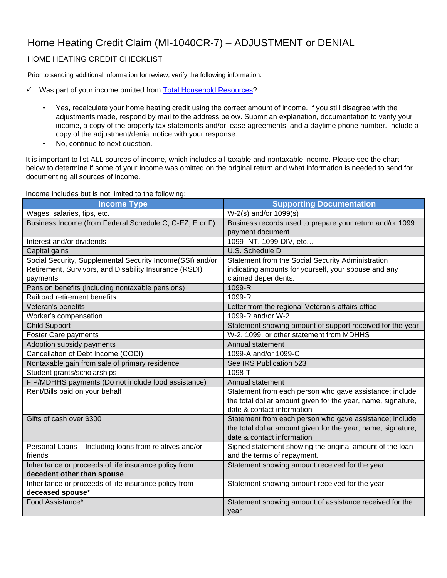## Home Heating Credit Claim (MI-1040CR-7) – ADJUSTMENT or DENIAL

## HOME HEATING CREDIT CHECKLIST

Prior to sending additional information for review, verify the following information:

- ✓ Was part of your income omitted from [Total Household Resources?](http://michigan.gov/taxes/0,4676,7-238-43513-235899--,00.html)
	- Yes, recalculate your home heating credit using the correct amount of income. If you still disagree with the adjustments made, respond by mail to the address below. Submit an explanation, documentation to verify your income, a copy of the property tax statements and/or lease agreements, and a daytime phone number. Include a copy of the adjustment/denial notice with your response.
	- No, continue to next question.

It is important to list ALL sources of income, which includes all taxable and nontaxable income. Please see the chart below to determine if some of your income was omitted on the original return and what information is needed to send for documenting all sources of income.

Income includes but is not limited to the following:

| <b>Income Type</b>                                        | <b>Supporting Documentation</b>                              |
|-----------------------------------------------------------|--------------------------------------------------------------|
| Wages, salaries, tips, etc.                               | $\overline{W-2}(s)$ and/or 1099 $(s)$                        |
| Business Income (from Federal Schedule C, C-EZ, E or F)   | Business records used to prepare your return and/or 1099     |
|                                                           | payment document                                             |
| Interest and/or dividends                                 | 1099-INT, 1099-DIV, etc                                      |
| Capital gains                                             | U.S. Schedule D                                              |
| Social Security, Supplemental Security Income(SSI) and/or | Statement from the Social Security Administration            |
| Retirement, Survivors, and Disability Insurance (RSDI)    | indicating amounts for yourself, your spouse and any         |
| payments                                                  | claimed dependents.                                          |
| Pension benefits (including nontaxable pensions)          | 1099-R                                                       |
| Railroad retirement benefits                              | 1099-R                                                       |
| Veteran's benefits                                        | Letter from the regional Veteran's affairs office            |
| Worker's compensation                                     | 1099-R and/or W-2                                            |
| <b>Child Support</b>                                      | Statement showing amount of support received for the year    |
| Foster Care payments                                      | W-2, 1099, or other statement from MDHHS                     |
| Adoption subsidy payments                                 | Annual statement                                             |
| Cancellation of Debt Income (CODI)                        | 1099-A and/or 1099-C                                         |
| Nontaxable gain from sale of primary residence            | See IRS Publication 523                                      |
| Student grants/scholarships                               | 1098-T                                                       |
| FIP/MDHHS payments (Do not include food assistance)       | Annual statement                                             |
| Rent/Bills paid on your behalf                            | Statement from each person who gave assistance; include      |
|                                                           | the total dollar amount given for the year, name, signature, |
|                                                           | date & contact information                                   |
| Gifts of cash over \$300                                  | Statement from each person who gave assistance; include      |
|                                                           | the total dollar amount given for the year, name, signature, |
|                                                           | date & contact information                                   |
| Personal Loans - Including loans from relatives and/or    | Signed statement showing the original amount of the loan     |
| friends                                                   | and the terms of repayment.                                  |
| Inheritance or proceeds of life insurance policy from     | Statement showing amount received for the year               |
| decedent other than spouse                                |                                                              |
| Inheritance or proceeds of life insurance policy from     | Statement showing amount received for the year               |
| deceased spouse*                                          |                                                              |
| Food Assistance*                                          | Statement showing amount of assistance received for the      |
|                                                           | year                                                         |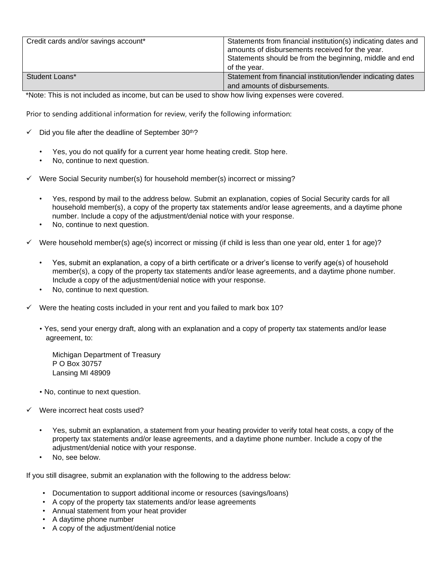| Credit cards and/or savings account* | Statements from financial institution(s) indicating dates and<br>amounts of disbursements received for the year.<br>Statements should be from the beginning, middle and end<br>of the year. |
|--------------------------------------|---------------------------------------------------------------------------------------------------------------------------------------------------------------------------------------------|
| Student Loans*                       | Statement from financial institution/lender indicating dates<br>and amounts of disbursements.                                                                                               |

\*Note: This is not included as income, but can be used to show how living expenses were covered.

Prior to sending additional information for review, verify the following information:

- Did you file after the deadline of September  $30<sup>th</sup>$ ?
	- Yes, you do not qualify for a current year home heating credit. Stop here.
	- No, continue to next question.
- Were Social Security number(s) for household member(s) incorrect or missing?
	- Yes, respond by mail to the address below. Submit an explanation, copies of Social Security cards for all household member(s), a copy of the property tax statements and/or lease agreements, and a daytime phone number. Include a copy of the adjustment/denial notice with your response.
	- No, continue to next question.
- Were household member(s) age(s) incorrect or missing (if child is less than one year old, enter 1 for age)?
	- Yes, submit an explanation, a copy of a birth certificate or a driver's license to verify age(s) of household member(s), a copy of the property tax statements and/or lease agreements, and a daytime phone number. Include a copy of the adjustment/denial notice with your response.
	- No, continue to next question.
- Were the heating costs included in your rent and you failed to mark box 10?
	- Yes, send your energy draft, along with an explanation and a copy of property tax statements and/or lease agreement, to:

Michigan Department of Treasury P O Box 30757 Lansing MI 48909

- No, continue to next question.
- Were incorrect heat costs used?
	- Yes, submit an explanation, a statement from your heating provider to verify total heat costs, a copy of the property tax statements and/or lease agreements, and a daytime phone number. Include a copy of the adjustment/denial notice with your response.
	- No, see below.

If you still disagree, submit an explanation with the following to the address below:

- Documentation to support additional income or resources (savings/loans)
- A copy of the property tax statements and/or lease agreements
- Annual statement from your heat provider
- A daytime phone number
- A copy of the adjustment/denial notice